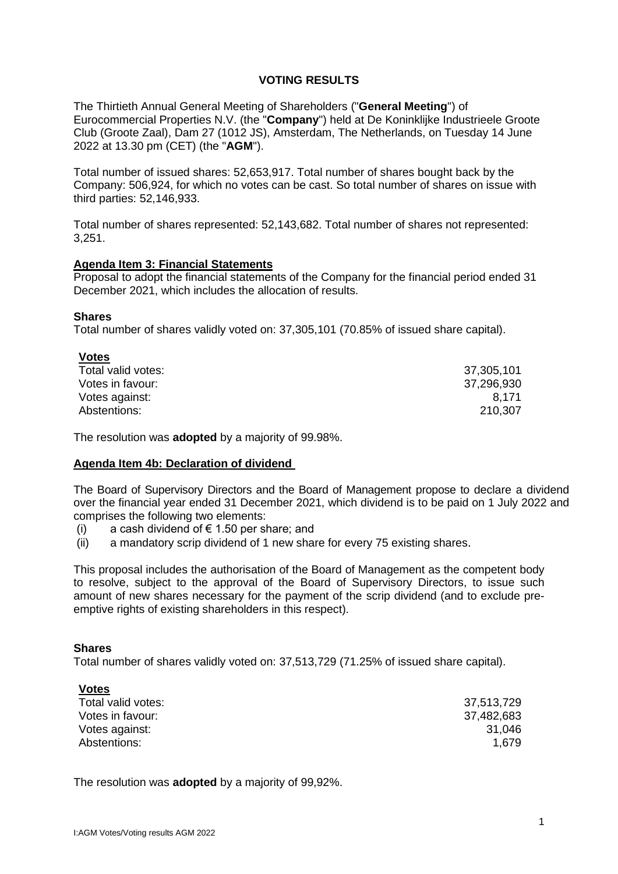# **VOTING RESULTS**

The Thirtieth Annual General Meeting of Shareholders ("**General Meeting**") of Eurocommercial Properties N.V. (the "**Company**") held at De Koninklijke Industrieele Groote Club (Groote Zaal), Dam 27 (1012 JS), Amsterdam, The Netherlands, on Tuesday 14 June 2022 at 13.30 pm (CET) (the "**AGM**").

Total number of issued shares: 52,653,917. Total number of shares bought back by the Company: 506,924, for which no votes can be cast. So total number of shares on issue with third parties: 52,146,933.

Total number of shares represented: 52,143,682. Total number of shares not represented: 3,251.

### **Agenda Item 3: Financial Statements**

Proposal to adopt the financial statements of the Company for the financial period ended 31 December 2021, which includes the allocation of results.

### **Shares**

Total number of shares validly voted on: 37,305,101 (70.85% of issued share capital).

| <b>Votes</b>       |            |
|--------------------|------------|
| Total valid votes: | 37,305,101 |
| Votes in favour:   | 37,296,930 |
| Votes against:     | 8.171      |
| Abstentions:       | 210,307    |

The resolution was **adopted** by a majority of 99.98%.

### **Agenda Item 4b: Declaration of dividend**

The Board of Supervisory Directors and the Board of Management propose to declare a dividend over the financial year ended 31 December 2021, which dividend is to be paid on 1 July 2022 and comprises the following two elements:

- (i) a cash dividend of  $\epsilon$  1.50 per share; and
- (ii) a mandatory scrip dividend of 1 new share for every 75 existing shares.

This proposal includes the authorisation of the Board of Management as the competent body to resolve, subject to the approval of the Board of Supervisory Directors, to issue such amount of new shares necessary for the payment of the scrip dividend (and to exclude preemptive rights of existing shareholders in this respect).

## **Shares**

Total number of shares validly voted on: 37,513,729 (71.25% of issued share capital).

| <b>Votes</b>       |            |
|--------------------|------------|
| Total valid votes: | 37,513,729 |
| Votes in favour:   | 37,482,683 |
| Votes against:     | 31,046     |
| Abstentions:       | 1,679      |

The resolution was **adopted** by a majority of 99,92%.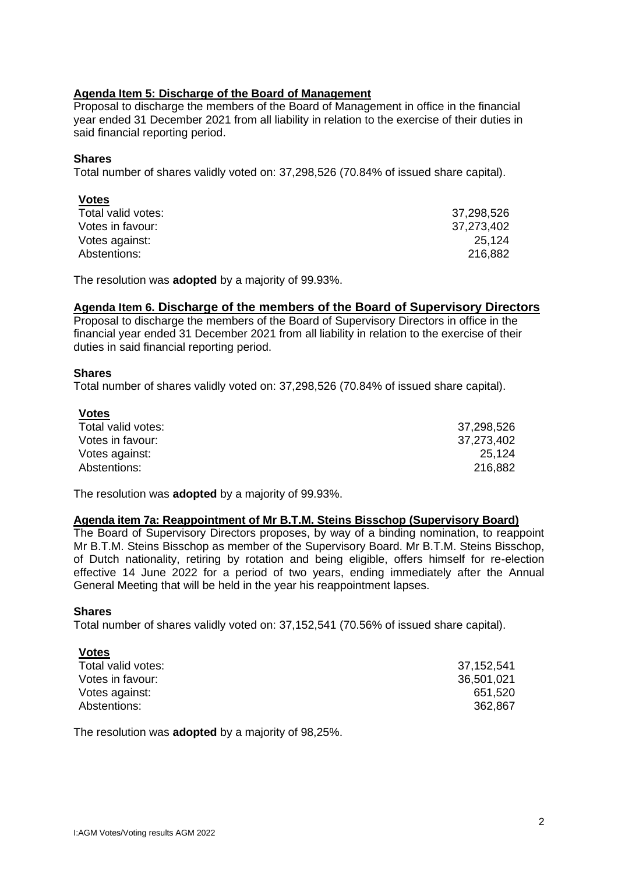## **Agenda Item 5: Discharge of the Board of Management**

Proposal to discharge the members of the Board of Management in office in the financial year ended 31 December 2021 from all liability in relation to the exercise of their duties in said financial reporting period.

### **Shares**

Total number of shares validly voted on: 37,298,526 (70.84% of issued share capital).

| <b>Votes</b>       |            |
|--------------------|------------|
| Total valid votes: | 37,298,526 |
| Votes in favour:   | 37,273,402 |
| Votes against:     | 25,124     |
| Abstentions:       | 216,882    |

The resolution was **adopted** by a majority of 99.93%.

### **Agenda Item 6. Discharge of the members of the Board of Supervisory Directors**

Proposal to discharge the members of the Board of Supervisory Directors in office in the financial year ended 31 December 2021 from all liability in relation to the exercise of their duties in said financial reporting period.

### **Shares**

Total number of shares validly voted on: 37,298,526 (70.84% of issued share capital).

| <b>Votes</b>       |            |
|--------------------|------------|
| Total valid votes: | 37,298,526 |
| Votes in favour:   | 37,273,402 |
| Votes against:     | 25.124     |
| Abstentions:       | 216,882    |

The resolution was **adopted** by a majority of 99.93%.

### **Agenda item 7a: Reappointment of Mr B.T.M. Steins Bisschop (Supervisory Board)**

The Board of Supervisory Directors proposes, by way of a binding nomination, to reappoint Mr B.T.M. Steins Bisschop as member of the Supervisory Board. Mr B.T.M. Steins Bisschop, of Dutch nationality, retiring by rotation and being eligible, offers himself for re-election effective 14 June 2022 for a period of two years, ending immediately after the Annual General Meeting that will be held in the year his reappointment lapses.

### **Shares**

Total number of shares validly voted on: 37,152,541 (70.56% of issued share capital).

| <b>Votes</b>       |            |
|--------------------|------------|
| Total valid votes: | 37,152,541 |
| Votes in favour:   | 36,501,021 |
| Votes against:     | 651,520    |
| Abstentions:       | 362,867    |

The resolution was **adopted** by a majority of 98,25%.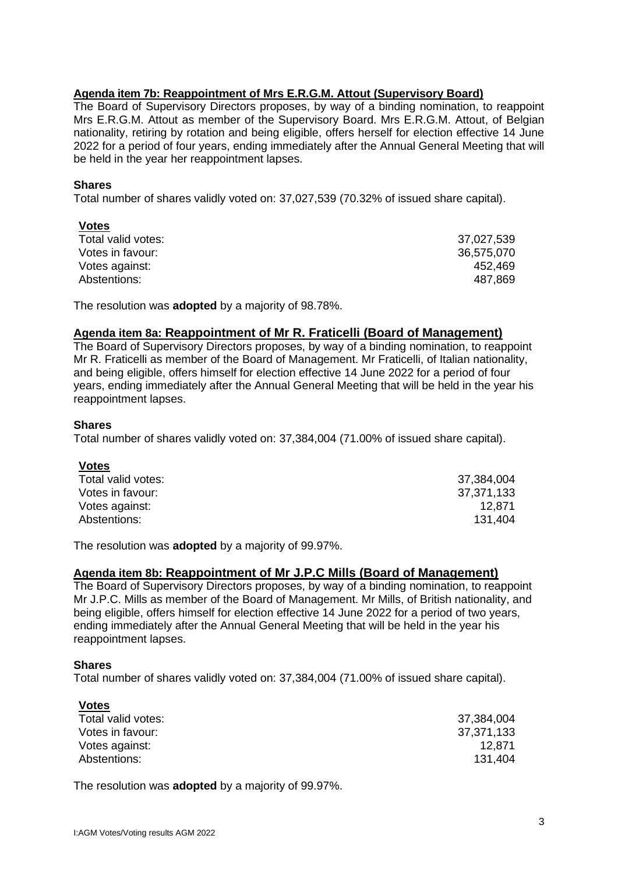# **Agenda item 7b: Reappointment of Mrs E.R.G.M. Attout (Supervisory Board)**

The Board of Supervisory Directors proposes, by way of a binding nomination, to reappoint Mrs E.R.G.M. Attout as member of the Supervisory Board. Mrs E.R.G.M. Attout, of Belgian nationality, retiring by rotation and being eligible, offers herself for election effective 14 June 2022 for a period of four years, ending immediately after the Annual General Meeting that will be held in the year her reappointment lapses.

### **Shares**

Total number of shares validly voted on: 37,027,539 (70.32% of issued share capital).

| <b>Votes</b>       |            |
|--------------------|------------|
| Total valid votes: | 37,027,539 |
| Votes in favour:   | 36,575,070 |
| Votes against:     | 452.469    |
| Abstentions:       | 487,869    |

The resolution was **adopted** by a majority of 98.78%.

# **Agenda item 8a: Reappointment of Mr R. Fraticelli (Board of Management)**

The Board of Supervisory Directors proposes, by way of a binding nomination, to reappoint Mr R. Fraticelli as member of the Board of Management. Mr Fraticelli, of Italian nationality, and being eligible, offers himself for election effective 14 June 2022 for a period of four years, ending immediately after the Annual General Meeting that will be held in the year his reappointment lapses.

### **Shares**

Total number of shares validly voted on: 37,384,004 (71.00% of issued share capital).

# **Votes**

| Total valid votes: | 37,384,004 |
|--------------------|------------|
| Votes in favour:   | 37,371,133 |
| Votes against:     | 12.871     |
| Abstentions:       | 131,404    |
|                    |            |

The resolution was **adopted** by a majority of 99.97%.

# **Agenda item 8b: Reappointment of Mr J.P.C Mills (Board of Management)**

The Board of Supervisory Directors proposes, by way of a binding nomination, to reappoint Mr J.P.C. Mills as member of the Board of Management. Mr Mills, of British nationality, and being eligible, offers himself for election effective 14 June 2022 for a period of two years, ending immediately after the Annual General Meeting that will be held in the year his reappointment lapses.

### **Shares**

**Votes**

Total number of shares validly voted on: 37,384,004 (71.00% of issued share capital).

| <b>votes</b>       |            |
|--------------------|------------|
| Total valid votes: | 37,384,004 |
| Votes in favour:   | 37,371,133 |
| Votes against:     | 12.871     |
| Abstentions:       | 131.404    |
|                    |            |

The resolution was **adopted** by a majority of 99.97%.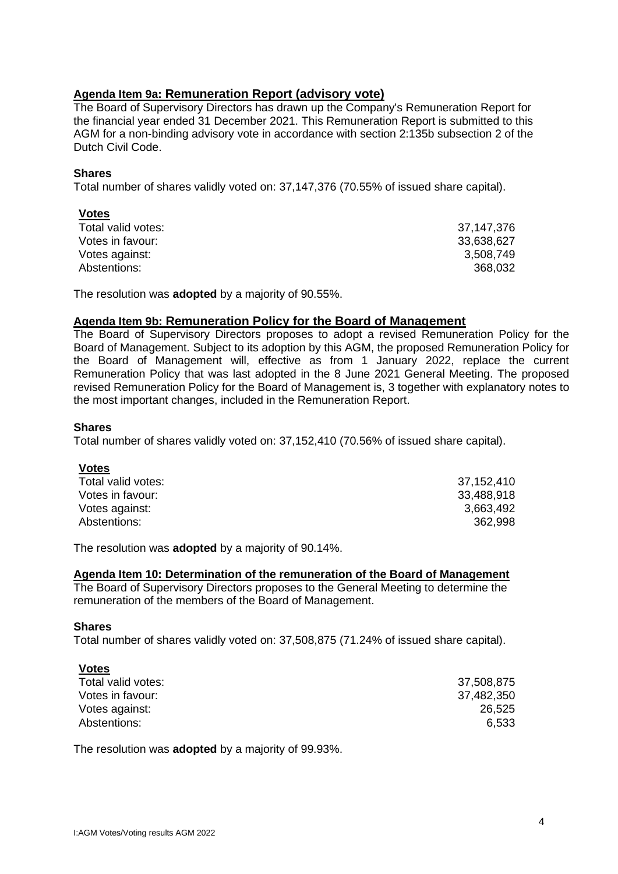# **Agenda Item 9a: Remuneration Report (advisory vote)**

The Board of Supervisory Directors has drawn up the Company's Remuneration Report for the financial year ended 31 December 2021. This Remuneration Report is submitted to this AGM for a non-binding advisory vote in accordance with section 2:135b subsection 2 of the Dutch Civil Code.

# **Shares**

Total number of shares validly voted on: 37,147,376 (70.55% of issued share capital).

| <b>Votes</b>       |            |
|--------------------|------------|
| Total valid votes: | 37,147,376 |
| Votes in favour:   | 33,638,627 |
| Votes against:     | 3,508,749  |
| Abstentions:       | 368,032    |

The resolution was **adopted** by a majority of 90.55%.

# **Agenda Item 9b: Remuneration Policy for the Board of Management**

The Board of Supervisory Directors proposes to adopt a revised Remuneration Policy for the Board of Management. Subject to its adoption by this AGM, the proposed Remuneration Policy for the Board of Management will, effective as from 1 January 2022, replace the current Remuneration Policy that was last adopted in the 8 June 2021 General Meeting. The proposed revised Remuneration Policy for the Board of Management is, 3 together with explanatory notes to the most important changes, included in the Remuneration Report.

### **Shares**

Total number of shares validly voted on: 37,152,410 (70.56% of issued share capital).

# **Votes**

| Total valid votes: | 37,152,410 |
|--------------------|------------|
| Votes in favour:   | 33,488,918 |
| Votes against:     | 3,663,492  |
| Abstentions:       | 362.998    |

The resolution was **adopted** by a majority of 90.14%.

### **Agenda Item 10: Determination of the remuneration of the Board of Management**

The Board of Supervisory Directors proposes to the General Meeting to determine the remuneration of the members of the Board of Management.

### **Shares**

**Votes**

Total number of shares validly voted on: 37,508,875 (71.24% of issued share capital).

| <b>VOtes</b>       |            |
|--------------------|------------|
| Total valid votes: | 37,508,875 |
| Votes in favour:   | 37,482,350 |
| Votes against:     | 26,525     |
| Abstentions:       | 6,533      |

The resolution was **adopted** by a majority of 99.93%.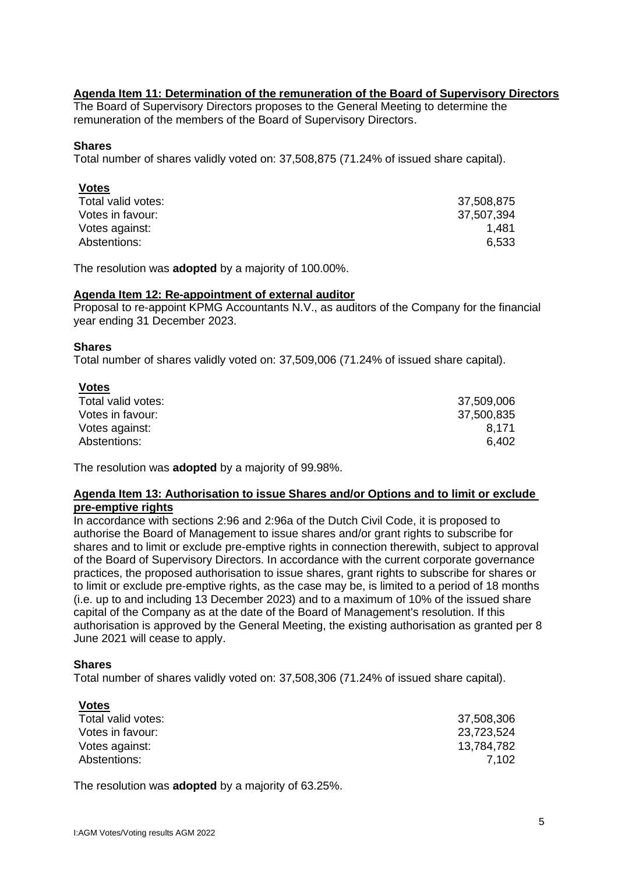# **Agenda Item 11: Determination of the remuneration of the Board of Supervisory Directors**

The Board of Supervisory Directors proposes to the General Meeting to determine the remuneration of the members of the Board of Supervisory Directors.

### **Shares**

Total number of shares validly voted on: 37,508,875 (71.24% of issued share capital).

## **Votes**

| Total valid votes: | 37,508,875 |
|--------------------|------------|
| Votes in favour:   | 37,507,394 |
| Votes against:     | 1.481      |
| Abstentions:       | 6,533      |

The resolution was **adopted** by a majority of 100.00%.

### **Agenda Item 12: Re-appointment of external auditor**

Proposal to re-appoint KPMG Accountants N.V., as auditors of the Company for the financial year ending 31 December 2023.

### **Shares**

Total number of shares validly voted on: 37,509,006 (71.24% of issued share capital).

| <b>Votes</b>       |            |
|--------------------|------------|
| Total valid votes: | 37,509,006 |
| Votes in favour:   | 37,500,835 |
| Votes against:     | 8.171      |
| Abstentions:       | 6.402      |

The resolution was **adopted** by a majority of 99.98%.

## **Agenda Item 13: Authorisation to issue Shares and/or Options and to limit or exclude pre-emptive rights**

In accordance with sections 2:96 and 2:96a of the Dutch Civil Code, it is proposed to authorise the Board of Management to issue shares and/or grant rights to subscribe for shares and to limit or exclude pre-emptive rights in connection therewith, subject to approval of the Board of Supervisory Directors. In accordance with the current corporate governance practices, the proposed authorisation to issue shares, grant rights to subscribe for shares or to limit or exclude pre-emptive rights, as the case may be, is limited to a period of 18 months (i.e. up to and including 13 December 2023) and to a maximum of 10% of the issued share capital of the Company as at the date of the Board of Management's resolution. If this authorisation is approved by the General Meeting, the existing authorisation as granted per 8 June 2021 will cease to apply.

# **Shares**

Total number of shares validly voted on: 37,508,306 (71.24% of issued share capital).

| <b>Votes</b>       |            |
|--------------------|------------|
| Total valid votes: | 37,508,306 |
| Votes in favour:   | 23,723,524 |
| Votes against:     | 13,784,782 |
| Abstentions:       | 7.102      |

The resolution was **adopted** by a majority of 63.25%.